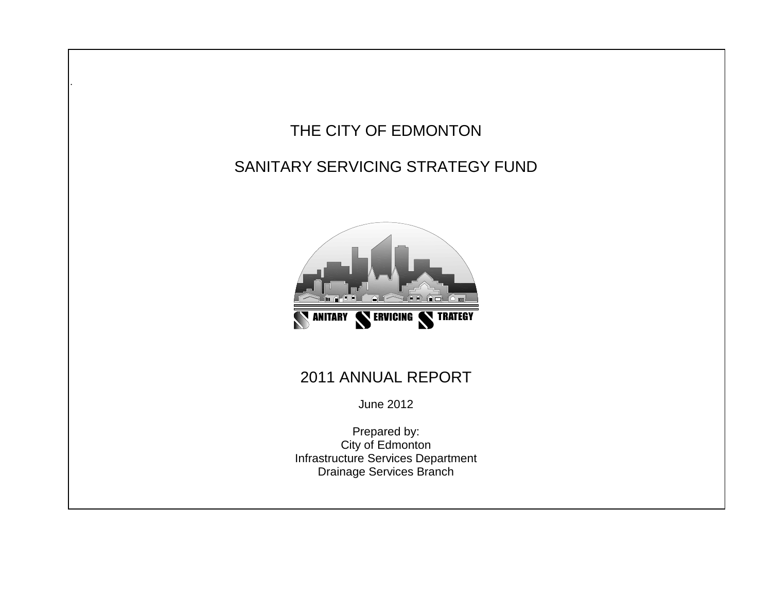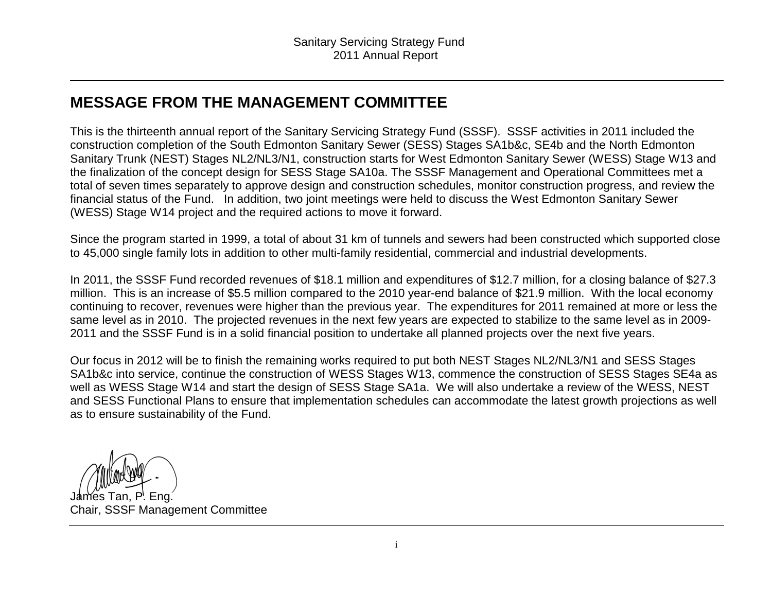## **MESSAGE FROM THE MANAGEMENT COMMITTEE**

This is the thirteenth annual report of the Sanitary Servicing Strategy Fund (SSSF). SSSF activities in 2011 included the construction completion of the South Edmonton Sanitary Sewer (SESS) Stages SA1b&c, SE4b and the North Edmonton Sanitary Trunk (NEST) Stages NL2/NL3/N1, construction starts for West Edmonton Sanitary Sewer (WESS) Stage W13 and the finalization of the concept design for SESS Stage SA10a. The SSSF Management and Operational Committees met a total of seven times separately to approve design and construction schedules, monitor construction progress, and review the financial status of the Fund. In addition, two joint meetings were held to discuss the West Edmonton Sanitary Sewer (WESS) Stage W14 project and the required actions to move it forward.

Since the program started in 1999, a total of about 31 km of tunnels and sewers had been constructed which supported close to 45,000 single family lots in addition to other multi-family residential, commercial and industrial developments.

In 2011, the SSSF Fund recorded revenues of \$18.1 million and expenditures of \$12.7 million, for a closing balance of \$27.3 million. This is an increase of \$5.5 million compared to the 2010 year-end balance of \$21.9 million. With the local economy continuing to recover, revenues were higher than the previous year. The expenditures for 2011 remained at more or less the same level as in 2010. The projected revenues in the next few years are expected to stabilize to the same level as in 2009-2011 and the SSSF Fund is in a solid financial position to undertake all planned projects over the next five years.

Our focus in 2012 will be to finish the remaining works required to put both NEST Stages NL2/NL3/N1 and SESS Stages SA1b&c into service, continue the construction of WESS Stages W13, commence the construction of SESS Stages SE4a as well as WESS Stage W14 and start the design of SESS Stage SA1a. We will also undertake a review of the WESS, NEST and SESS Functional Plans to ensure that implementation schedules can accommodate the latest growth projections as well as to ensure sustainability of the Fund.

James Tan, P. Eng. Chair, SSSF Management Committee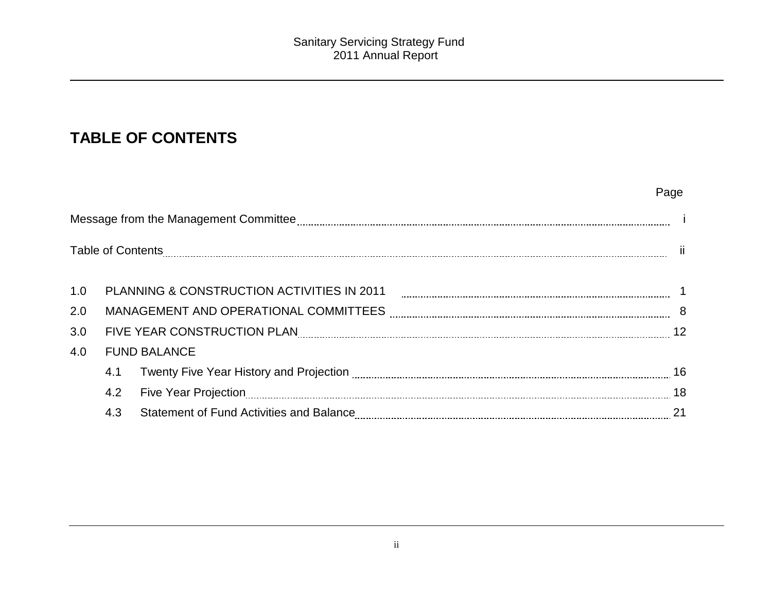## **TABLE OF CONTENTS**

|     |     |                                                                                                               | Page |
|-----|-----|---------------------------------------------------------------------------------------------------------------|------|
|     |     |                                                                                                               |      |
|     |     |                                                                                                               | -ii  |
| 1.0 |     |                                                                                                               |      |
| 2.0 |     |                                                                                                               |      |
| 3.0 |     | FIVE YEAR CONSTRUCTION PLAN ELECTION FROM CONSUMING THE SUBSECTION OF THE SUBSECTION OF THE SUBSECTION OF THE | 12   |
| 4.0 |     | <b>FUND BALANCE</b>                                                                                           |      |
|     | 4.1 |                                                                                                               |      |
|     | 4.2 |                                                                                                               | 18   |
|     | 4.3 |                                                                                                               | 21   |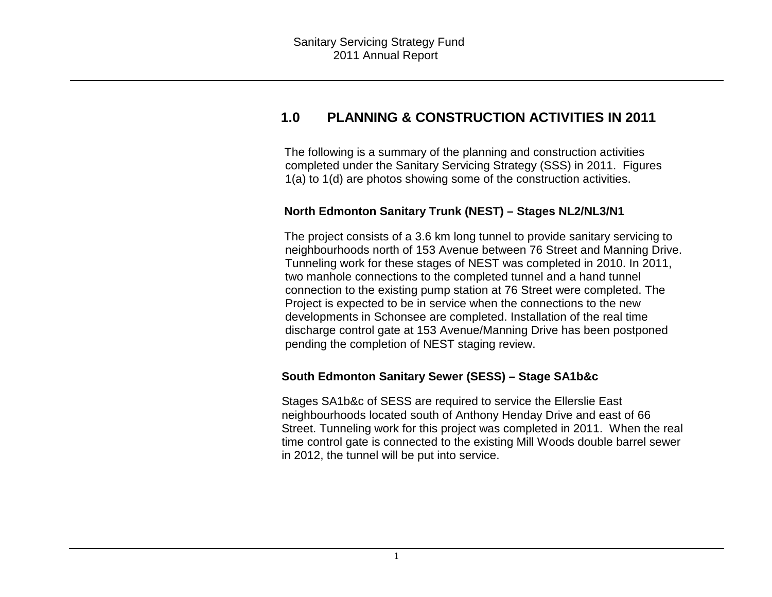## **1.0 PLANNING & CONSTRUCTION ACTIVITIES IN 2011**

The following is a summary of the planning and construction activities completed under the Sanitary Servicing Strategy (SSS) in 2011. Figures 1(a) to 1(d) are photos showing some of the construction activities.

#### **North Edmonton Sanitary Trunk (NEST) – Stages NL2/NL3/N1**

The project consists of a 3.6 km long tunnel to provide sanitary servicing to neighbourhoods north of 153 Avenue between 76 Street and Manning Drive. Tunneling work for these stages of NEST was completed in 2010. In 2011, two manhole connections to the completed tunnel and a hand tunnel connection to the existing pump station at 76 Street were completed. The Project is expected to be in service when the connections to the new developments in Schonsee are completed. Installation of the real time discharge control gate at 153 Avenue/Manning Drive has been postponed pending the completion of NEST staging review.

#### **South Edmonton Sanitary Sewer (SESS) – Stage SA1b&c**

Stages SA1b&c of SESS are required to service the Ellerslie East neighbourhoods located south of Anthony Henday Drive and east of 66 Street. Tunneling work for this project was completed in 2011. When the real time control gate is connected to the existing Mill Woods double barrel sewer in 2012, the tunnel will be put into service.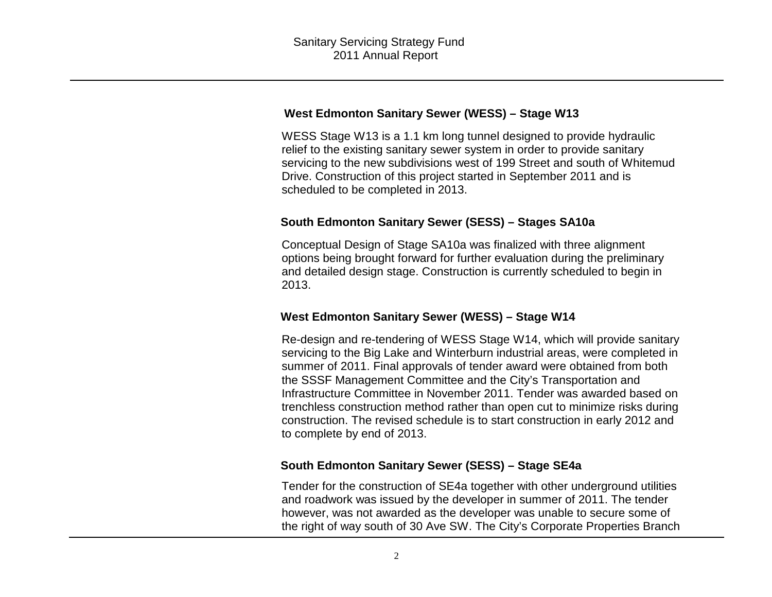#### **West Edmonton Sanitary Sewer (WESS) – Stage W13**

WESS Stage W13 is a 1.1 km long tunnel designed to provide hydraulic relief to the existing sanitary sewer system in order to provide sanitary servicing to the new subdivisions west of 199 Street and south of Whitemud Drive. Construction of this project started in September 2011 and is scheduled to be completed in 2013.

#### **South Edmonton Sanitary Sewer (SESS) – Stages SA10a**

Conceptual Design of Stage SA10a was finalized with three alignment options being brought forward for further evaluation during the preliminary and detailed design stage. Construction is currently scheduled to begin in 2013.

#### **West Edmonton Sanitary Sewer (WESS) – Stage W14**

Re-design and re-tendering of WESS Stage W14, which will provide sanitary servicing to the Big Lake and Winterburn industrial areas, were completed in summer of 2011. Final approvals of tender award were obtained from both the SSSF Management Committee and the City's Transportation and Infrastructure Committee in November 2011. Tender was awarded based on trenchless construction method rather than open cut to minimize risks during construction. The revised schedule is to start construction in early 2012 and to complete by end of 2013.

#### **South Edmonton Sanitary Sewer (SESS) – Stage SE4a**

Tender for the construction of SE4a together with other underground utilities and roadwork was issued by the developer in summer of 2011. The tender however, was not awarded as the developer was unable to secure some of the right of way south of 30 Ave SW. The City's Corporate Properties Branch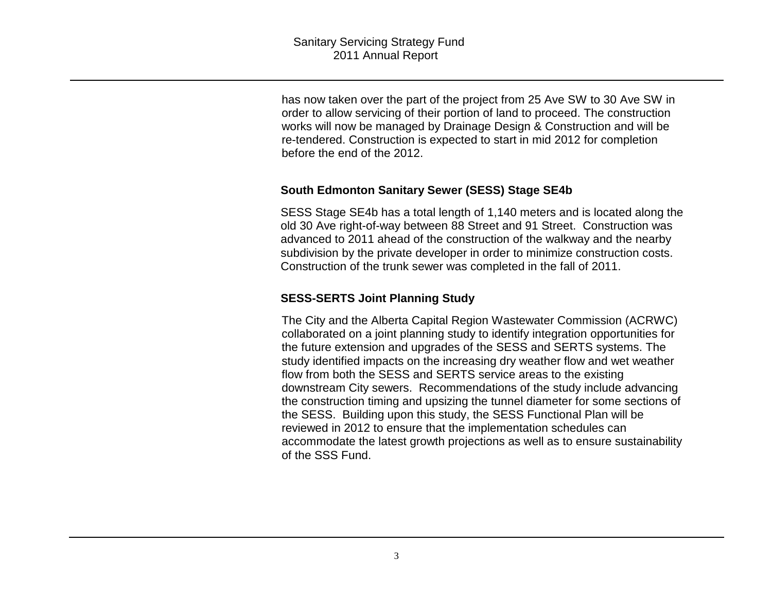has now taken over the part of the project from 25 Ave SW to 30 Ave SW in order to allow servicing of their portion of land to proceed. The construction works will now be managed by Drainage Design & Construction and will be re-tendered. Construction is expected to start in mid 2012 for completion before the end of the 2012.

#### **South Edmonton Sanitary Sewer (SESS) Stage SE4b**

SESS Stage SE4b has a total length of 1,140 meters and is located along the old 30 Ave right-of-way between 88 Street and 91 Street. Construction was advanced to 2011 ahead of the construction of the walkway and the nearby subdivision by the private developer in order to minimize construction costs. Construction of the trunk sewer was completed in the fall of 2011.

#### **SESS-SERTS Joint Planning Study**

The City and the Alberta Capital Region Wastewater Commission (ACRWC) collaborated on a joint planning study to identify integration opportunities for the future extension and upgrades of the SESS and SERTS systems. The study identified impacts on the increasing dry weather flow and wet weather flow from both the SESS and SERTS service areas to the existing downstream City sewers. Recommendations of the study include advancing the construction timing and upsizing the tunnel diameter for some sections of the SESS. Building upon this study, the SESS Functional Plan will be reviewed in 2012 to ensure that the implementation schedules can accommodate the latest growth projections as well as to ensure sustainability of the SSS Fund.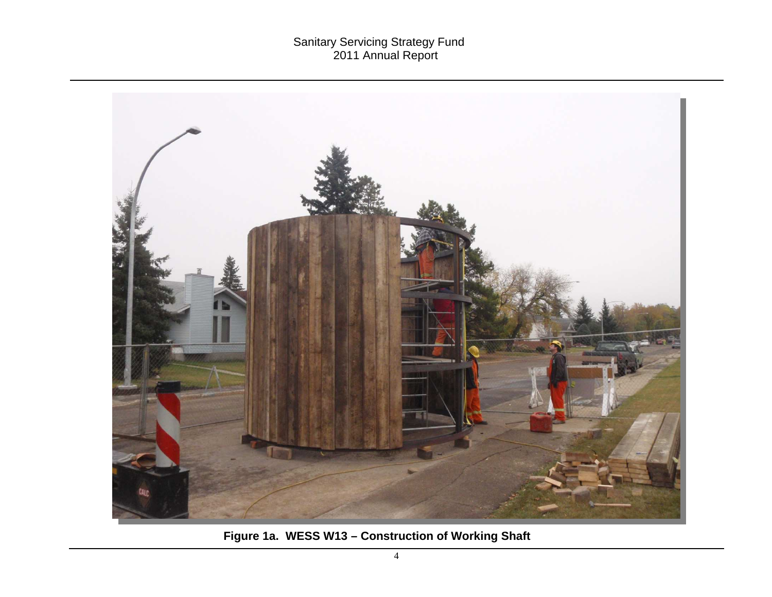# Sanitary Servicing Strategy Fund 2011 Annual Report



**Figure 1a. WESS W13 – Construction of Working Shaft**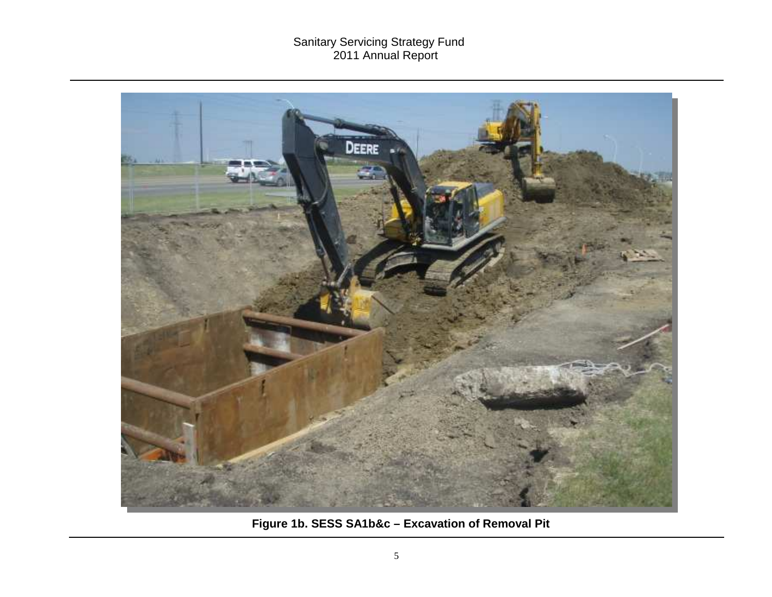# Sanitary Servicing Strategy Fund 2011 Annual Report



**Figure 1b. SESS SA1b&c – Excavation of Removal Pit**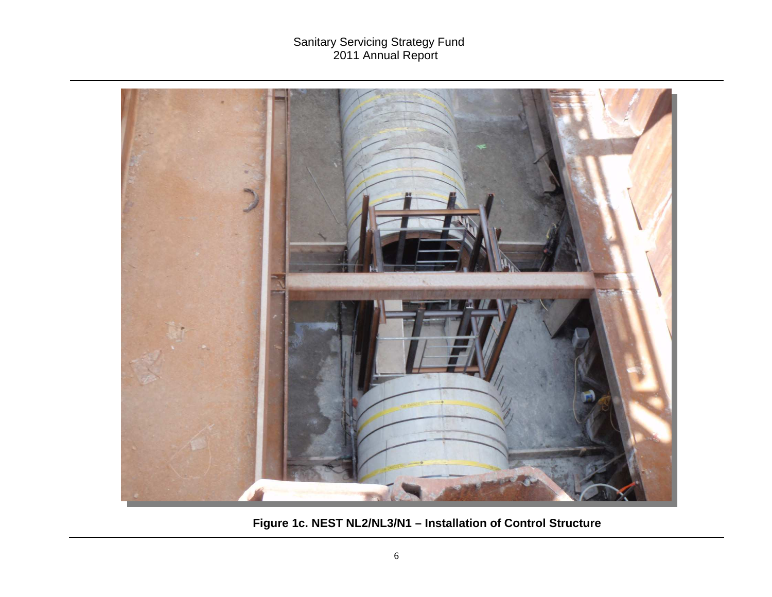

**Figure 1c. NEST NL2/NL3/N1 – Installation of Control Structure**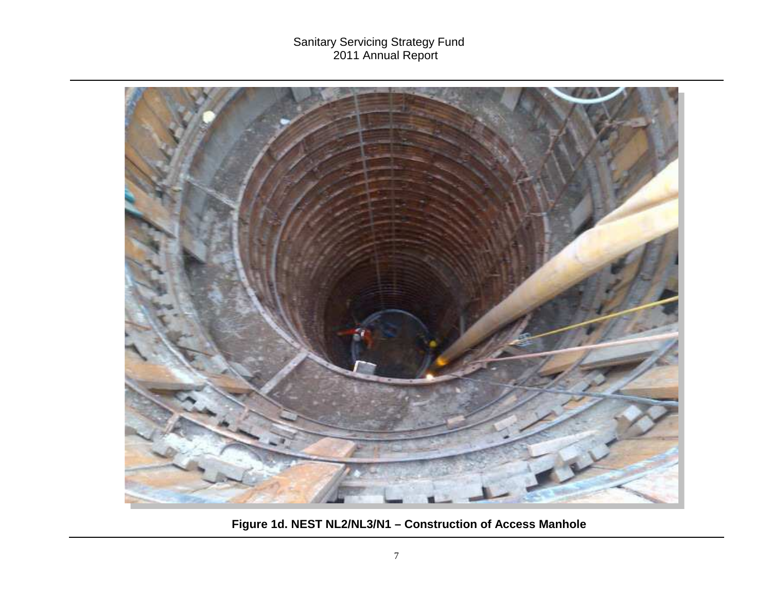

**Figure 1d. NEST NL2/NL3/N1 – Construction of Access Manhole**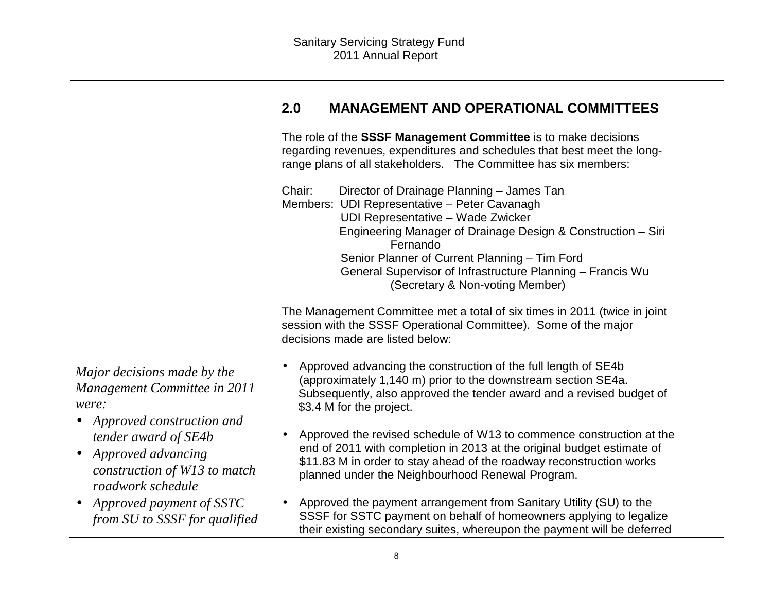## **2.0 MANAGEMENT AND OPERATIONAL COMMITTEES**

The role of the **SSSF Management Committee** is to make decisions regarding revenues, expenditures and schedules that best meet the longrange plans of all stakeholders. The Committee has six members:

Chair: Director of Drainage Planning – James Tan Members: UDI Representative – Peter Cavanagh UDI Representative – Wade Zwicker Engineering Manager of Drainage Design & Construction – Siri Fernando Senior Planner of Current Planning – Tim Ford General Supervisor of Infrastructure Planning – Francis Wu (Secretary & Non-voting Member)

The Management Committee met a total of six times in 2011 (twice in joint session with the SSSF Operational Committee). Some of the major decisions made are listed below:

- Approved advancing the construction of the full length of SE4b (approximately 1,140 m) prior to the downstream section SE4a. Subsequently, also approved the tender award and a revised budget of \$3.4 M for the project.
- Approved the revised schedule of W13 to commence construction at the end of 2011 with completion in 2013 at the original budget estimate of \$11.83 M in order to stay ahead of the roadway reconstruction works planned under the Neighbourhood Renewal Program.
- Approved the payment arrangement from Sanitary Utility (SU) to the SSSF for SSTC payment on behalf of homeowners applying to legalize their existing secondary suites, whereupon the payment will be deferred

*Major decisions made by the Management Committee in 2011 were:* 

- *Approved construction and tender award of SE4b*
- *Approved advancing construction of W13 to match roadwork schedule*
- *Approved payment of SSTC from SU to SSSF for qualified*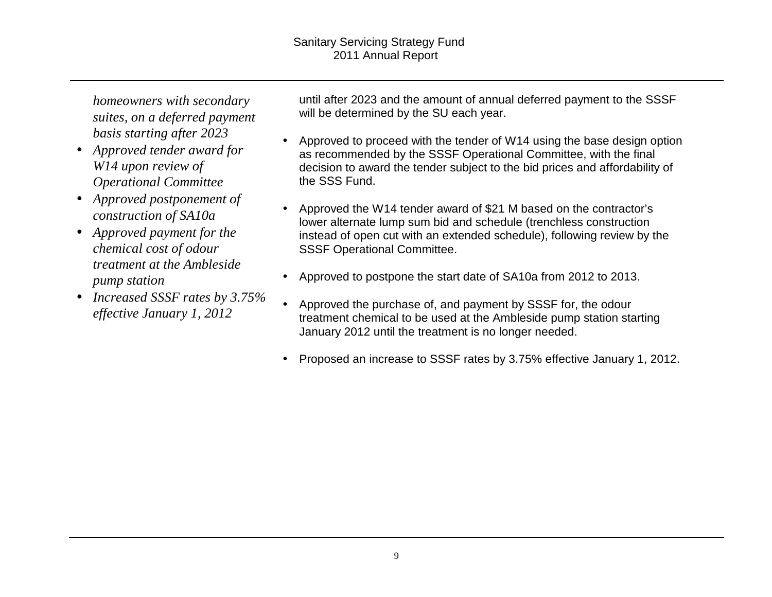*homeowners with secondary suites, on a deferred payment basis starting after 2023* 

- *Approved tender award for W14 upon review of Operational Committee*
- *Approved postponement of construction of SA10a*
- *Approved payment for the chemical cost of odour treatment at the Ambleside pump station*
- *Increased SSSF rates by 3.75% effective January 1, 2012*

until after 2023 and the amount of annual deferred payment to the SSSF will be determined by the SU each year.

- Approved to proceed with the tender of W14 using the base design option as recommended by the SSSF Operational Committee, with the final decision to award the tender subject to the bid prices and affordability of the SSS Fund.
- Approved the W14 tender award of \$21 M based on the contractor's lower alternate lump sum bid and schedule (trenchless construction instead of open cut with an extended schedule), following review by the SSSF Operational Committee.
- Approved to postpone the start date of SA10a from 2012 to 2013.
- Approved the purchase of, and payment by SSSF for, the odour treatment chemical to be used at the Ambleside pump station starting January 2012 until the treatment is no longer needed.
- Proposed an increase to SSSF rates by 3.75% effective January 1, 2012.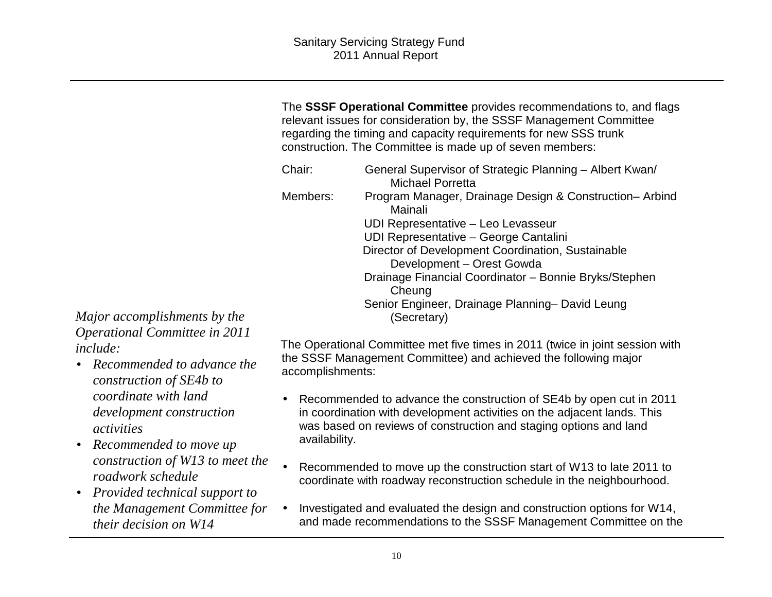The **SSSF Operational Committee** provides recommendations to, and flags relevant issues for consideration by, the SSSF Management Committee regarding the timing and capacity requirements for new SSS trunk construction. The Committee is made up of seven members:

| Chair:   | General Supervisor of Strategic Planning – Albert Kwan/<br><b>Michael Porretta</b> |
|----------|------------------------------------------------------------------------------------|
| Members: | Program Manager, Drainage Design & Construction-Arbind<br>Mainali                  |
|          | UDI Representative - Leo Levasseur                                                 |
|          | UDI Representative - George Cantalini                                              |
|          | Director of Development Coordination, Sustainable                                  |
|          | Development - Orest Gowda                                                          |
|          | Drainage Financial Coordinator - Bonnie Bryks/Stephen<br>Cheung                    |
|          | Senior Engineer, Drainage Planning- David Leung<br>(Secretary)                     |

*Major accomplishments by the Operational Committee in 2011 include:* 

- *Recommended to advance the construction of SE4b to coordinate with land development construction activities*
- *Recommended to move up construction of W13 to meet the roadwork schedule*
- *Provided technical support to the Management Committee for their decision on W14*

The Operational Committee met five times in 2011 (twice in joint session with the SSSF Management Committee) and achieved the following major accomplishments:

- Recommended to advance the construction of SE4b by open cut in 2011 in coordination with development activities on the adjacent lands. This was based on reviews of construction and staging options and land availability.
- Recommended to move up the construction start of W13 to late 2011 to coordinate with roadway reconstruction schedule in the neighbourhood.
- Investigated and evaluated the design and construction options for W14, and made recommendations to the SSSF Management Committee on the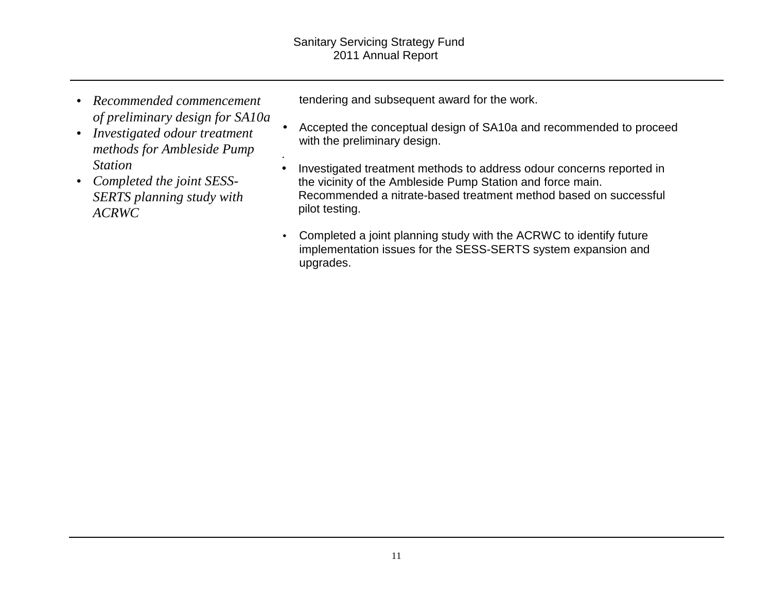.

- *Recommended commencement of preliminary design for SA10a*
- *Investigated odour treatment methods for Ambleside Pump Station*
- *Completed the joint SESS-SERTS planning study with ACRWC*

tendering and subsequent award for the work.

- Accepted the conceptual design of SA10a and recommended to proceed with the preliminary design.
- Investigated treatment methods to address odour concerns reported in the vicinity of the Ambleside Pump Station and force main. Recommended a nitrate-based treatment method based on successful pilot testing.
- Completed a joint planning study with the ACRWC to identify future implementation issues for the SESS-SERTS system expansion and upgrades.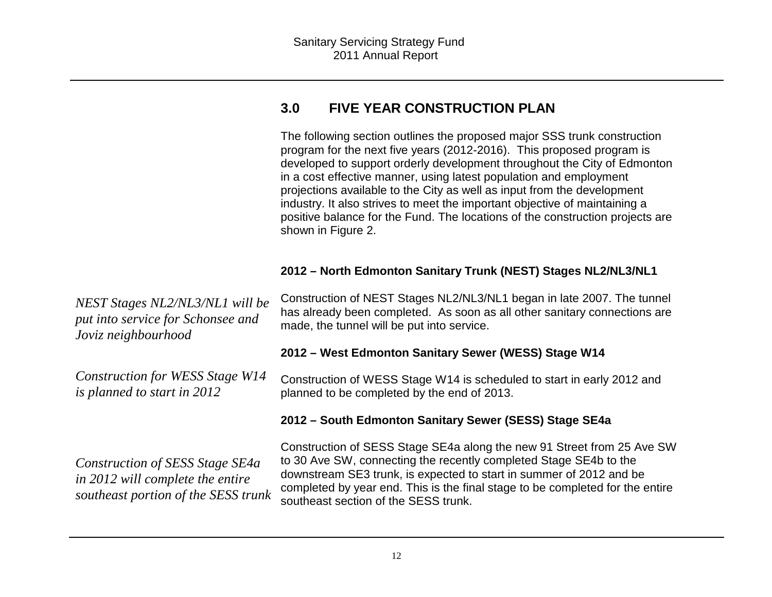## **3.0 FIVE YEAR CONSTRUCTION PLAN**

The following section outlines the proposed major SSS trunk construction program for the next five years (2012-2016). This proposed program is developed to support orderly development throughout the City of Edmonton in a cost effective manner, using latest population and employment projections available to the City as well as input from the development industry. It also strives to meet the important objective of maintaining a positive balance for the Fund. The locations of the construction projects are shown in Figure 2.

#### **2012 – North Edmonton Sanitary Trunk (NEST) Stages NL2/NL3/NL1**

*NEST Stages NL2/NL3/NL1 will be put into service for Schonsee and Joviz neighbourhood* Construction of NEST Stages NL2/NL3/NL1 began in late 2007. The tunnel has already been completed. As soon as all other sanitary connections are made, the tunnel will be put into service.

#### **2012 – West Edmonton Sanitary Sewer (WESS) Stage W14**

*Construction for WESS Stage W14 is planned to start in 2012* Construction of WESS Stage W14 is scheduled to start in early 2012 and planned to be completed by the end of 2013.

#### **2012 – South Edmonton Sanitary Sewer (SESS) Stage SE4a**

Construction of SESS Stage SE4a along the new 91 Street from 25 Ave SW to 30 Ave SW, connecting the recently completed Stage SE4b to the downstream SE3 trunk, is expected to start in summer of 2012 and be completed by year end. This is the final stage to be completed for the entire southeast section of the SESS trunk.

*Construction of SESS Stage SE4a in 2012 will complete the entire southeast portion of the SESS trunk*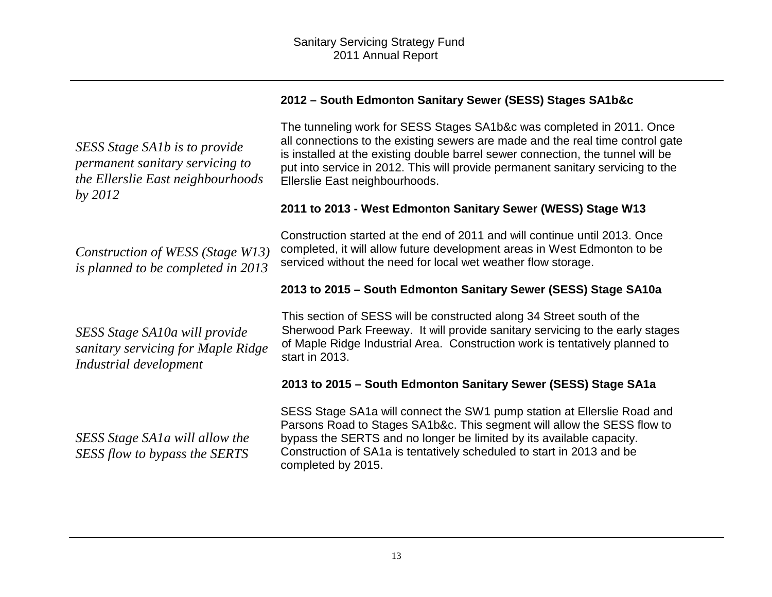## *SESS Stage SA1b is to provide permanent sanitary servicing to the Ellerslie East neighbourhoods by 2012*

*Construction of WESS (Stage W13) is planned to be completed in 2013* 

*SESS Stage SA10a will provide sanitary servicing for Maple Ridge Industrial development* 

*SESS Stage SA1a will allow the SESS flow to bypass the SERTS* 

#### **2012 – South Edmonton Sanitary Sewer (SESS) Stages SA1b&c**

The tunneling work for SESS Stages SA1b&c was completed in 2011. Once all connections to the existing sewers are made and the real time control gate is installed at the existing double barrel sewer connection, the tunnel will be put into service in 2012. This will provide permanent sanitary servicing to the Ellerslie East neighbourhoods.

#### **2011 to 2013 - West Edmonton Sanitary Sewer (WESS) Stage W13**

Construction started at the end of 2011 and will continue until 2013. Once completed, it will allow future development areas in West Edmonton to be serviced without the need for local wet weather flow storage.

#### **2013 to 2015 – South Edmonton Sanitary Sewer (SESS) Stage SA10a**

This section of SESS will be constructed along 34 Street south of the Sherwood Park Freeway. It will provide sanitary servicing to the early stages of Maple Ridge Industrial Area. Construction work is tentatively planned to start in 2013.

#### **2013 to 2015 – South Edmonton Sanitary Sewer (SESS) Stage SA1a**

SESS Stage SA1a will connect the SW1 pump station at Ellerslie Road and Parsons Road to Stages SA1b&c. This segment will allow the SESS flow to bypass the SERTS and no longer be limited by its available capacity. Construction of SA1a is tentatively scheduled to start in 2013 and be completed by 2015.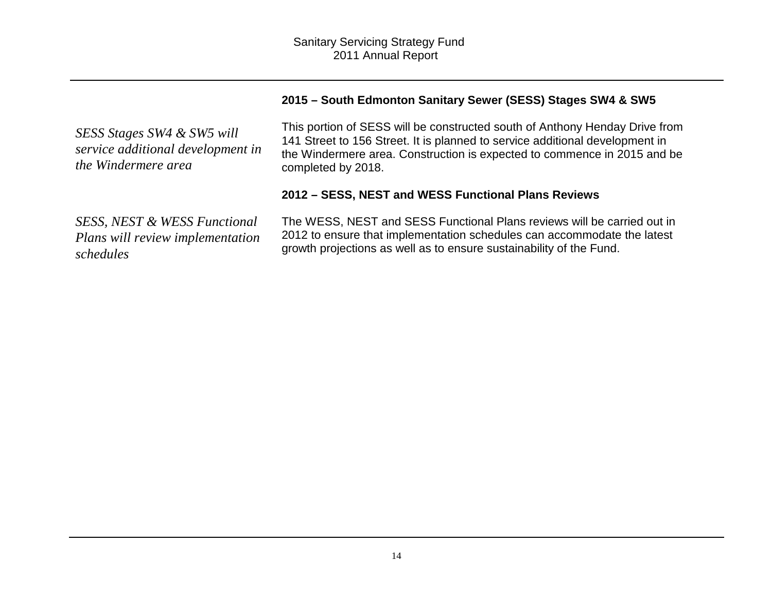#### **2015 – South Edmonton Sanitary Sewer (SESS) Stages SW4 & SW5**

*SESS Stages SW4 & SW5 will service additional development in the Windermere area*

This portion of SESS will be constructed south of Anthony Henday Drive from 141 Street to 156 Street. It is planned to service additional development in the Windermere area. Construction is expected to commence in 2015 and be completed by 2018.

#### **2012 – SESS, NEST and WESS Functional Plans Reviews**

*SESS, NEST & WESS Functional Plans will review implementation schedules*

The WESS, NEST and SESS Functional Plans reviews will be carried out in 2012 to ensure that implementation schedules can accommodate the latest growth projections as well as to ensure sustainability of the Fund.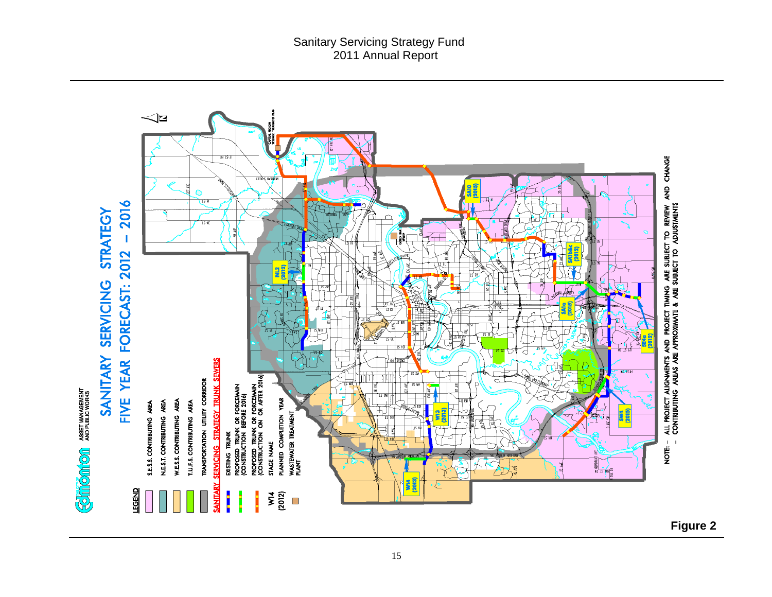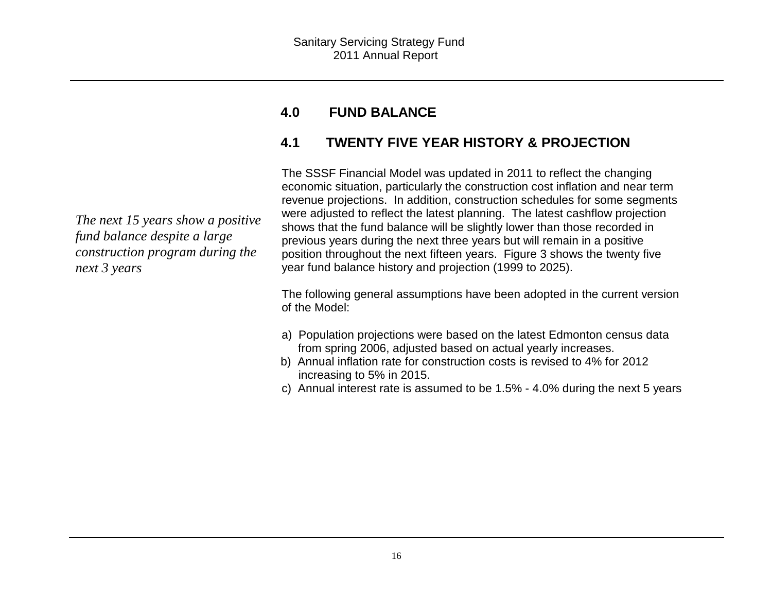#### **4.0FUND BALANCE**

## **4.1 TWENTY FIVE YEAR HISTORY & PROJECTION**

The SSSF Financial Model was updated in 2011 to reflect the changing economic situation, particularly the construction cost inflation and near term revenue projections. In addition, construction schedules for some segments were adjusted to reflect the latest planning. The latest cashflow projection shows that the fund balance will be slightly lower than those recorded in previous years during the next three years but will remain in a positive position throughout the next fifteen years. Figure 3 shows the twenty five year fund balance history and projection (1999 to 2025).

The following general assumptions have been adopted in the current version of the Model:

- a) Population projections were based on the latest Edmonton census data from spring 2006, adjusted based on actual yearly increases.
- b) Annual inflation rate for construction costs is revised to 4% for 2012 increasing to 5% in 2015.
- c) Annual interest rate is assumed to be 1.5% 4.0% during the next 5 years

*The next 15 years show a positive fund balance despite a large construction program during the next 3 years*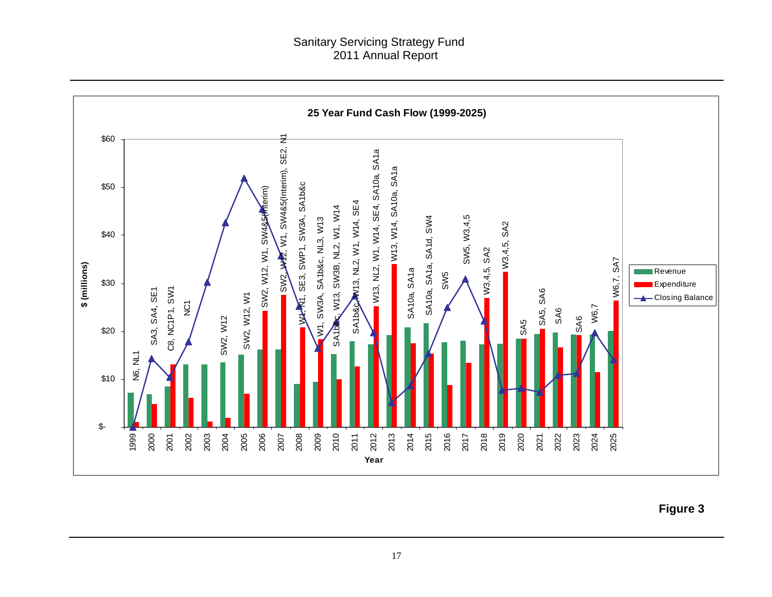#### Sanitary Servicing Strategy Fund 2011 Annual Report

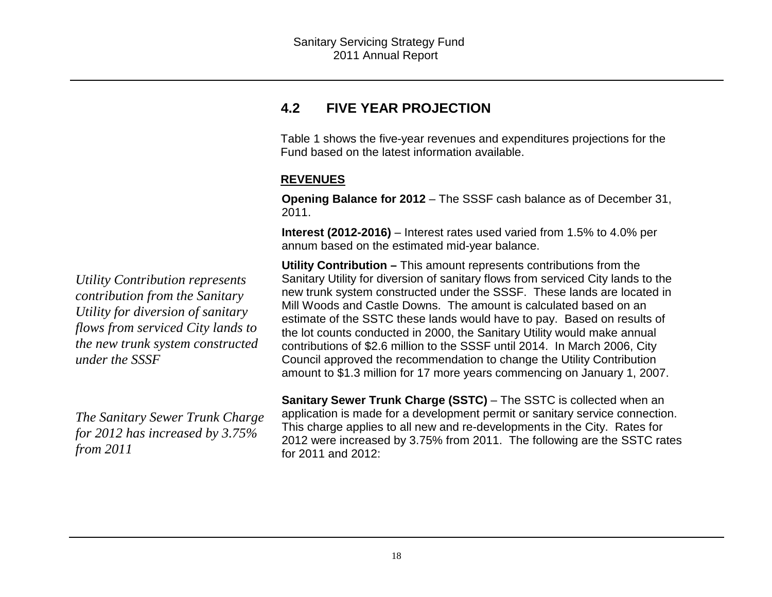### **4.2 FIVE YEAR PROJECTION**

Table 1 shows the five-year revenues and expenditures projections for the Fund based on the latest information available.

#### **REVENUES**

**Opening Balance for 2012** – The SSSF cash balance as of December 31, 2011.

**Interest (2012-2016)** – Interest rates used varied from 1.5% to 4.0% perannum based on the estimated mid-year balance.

**Utility Contribution –** This amount represents contributions from the Sanitary Utility for diversion of sanitary flows from serviced City lands to the new trunk system constructed under the SSSF. These lands are located in Mill Woods and Castle Downs. The amount is calculated based on an estimate of the SSTC these lands would have to pay. Based on results of the lot counts conducted in 2000, the Sanitary Utility would make annual contributions of \$2.6 million to the SSSF until 2014. In March 2006, City Council approved the recommendation to change the Utility Contribution amount to \$1.3 million for 17 more years commencing on January 1, 2007.

**Sanitary Sewer Trunk Charge (SSTC)** – The SSTC is collected when an application is made for a development permit or sanitary service connection. This charge applies to all new and re-developments in the City. Rates for 2012 were increased by 3.75% from 2011. The following are the SSTC rates for 2011 and 2012:

*Utility Contribution represents contribution from the Sanitary Utility for diversion of sanitary flows from serviced City lands to the new trunk system constructed under the SSSF* 

*The Sanitary Sewer Trunk Charge for 2012 has increased by 3.75% from 2011*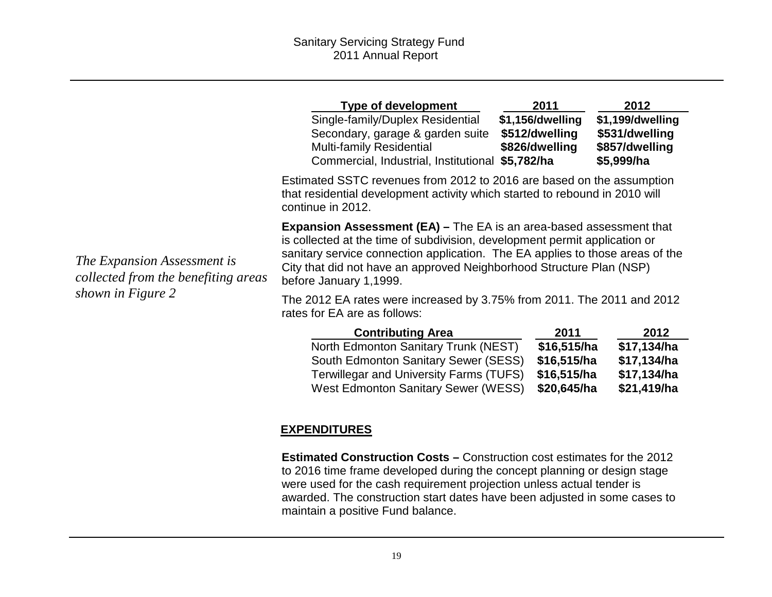|                                                                    | Type of development<br>Single-family/Duplex Residential<br>Secondary, garage & garden suite<br><b>Multi-family Residential</b><br>Commercial, Industrial, Institutional \$5,782/ha                                                                                                                                                          | 2011<br>\$1,156/dwelling<br>\$512/dwelling<br>\$826/dwelling | 2012<br>\$1,199/dwelling<br>\$531/dwelling<br>\$857/dwelling<br>\$5,999/ha |  |  |  |  |
|--------------------------------------------------------------------|---------------------------------------------------------------------------------------------------------------------------------------------------------------------------------------------------------------------------------------------------------------------------------------------------------------------------------------------|--------------------------------------------------------------|----------------------------------------------------------------------------|--|--|--|--|
|                                                                    | Estimated SSTC revenues from 2012 to 2016 are based on the assumption<br>that residential development activity which started to rebound in 2010 will<br>continue in 2012.                                                                                                                                                                   |                                                              |                                                                            |  |  |  |  |
| The Expansion Assessment is<br>collected from the benefiting areas | <b>Expansion Assessment (EA) – The EA is an area-based assessment that</b><br>is collected at the time of subdivision, development permit application or<br>sanitary service connection application. The EA applies to those areas of the<br>City that did not have an approved Neighborhood Structure Plan (NSP)<br>before January 1,1999. |                                                              |                                                                            |  |  |  |  |
| shown in Figure 2                                                  | The 2012 EA rates were increased by 3.75% from 2011. The 2011 and 2012<br>rates for EA are as follows:                                                                                                                                                                                                                                      |                                                              |                                                                            |  |  |  |  |
|                                                                    | <b>Contributing Area</b><br>North Edmonton Sanitary Trunk (NEST)<br>South Edmonton Sanitary Sewer (SESS)                                                                                                                                                                                                                                    | 2011<br>\$16,515/ha<br>\$16,515/ha                           | 2012<br>\$17,134/ha<br>\$17,134/ha                                         |  |  |  |  |

#### **EXPENDITURES**

**Estimated Construction Costs –** Construction cost estimates for the 2012 to 2016 time frame developed during the concept planning or design stage were used for the cash requirement projection unless actual tender is awarded. The construction start dates have been adjusted in some cases to maintain a positive Fund balance.

Terwillegar and University Farms (TUFS) \$16,515/ha

West Edmonton Sanitary Sewer (WESS) \$20,645/ha

\$17,134/ha

\$21,419/ha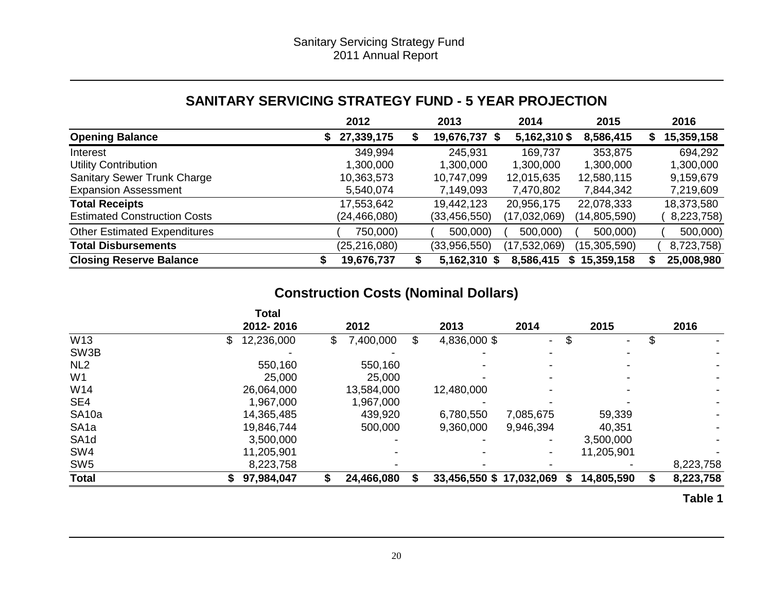## **SANITARY SERVICING STRATEGY FUND - 5 YEAR PROJECTION**

|                                     | 2012            | 2013           | 2014           | 2015            | 2016             |
|-------------------------------------|-----------------|----------------|----------------|-----------------|------------------|
| <b>Opening Balance</b>              | 27,339,175<br>S | 19,676,737 \$  | 5,162,310 \$   | 8,586,415       | 15,359,158<br>æ. |
| Interest                            | 349,994         | 245,931        | 169,737        | 353,875         | 694,292          |
| <b>Utility Contribution</b>         | 1,300,000       | 1,300,000      | 1,300,000      | 1,300,000       | 1,300,000        |
| <b>Sanitary Sewer Trunk Charge</b>  | 10,363,573      | 10,747,099     | 12,015,635     | 12,580,115      | 9,159,679        |
| <b>Expansion Assessment</b>         | 5,540,074       | 7,149,093      | 7,470,802      | 7,844,342       | 7,219,609        |
| <b>Total Receipts</b>               | 17,553,642      | 19,442,123     | 20,956,175     | 22,078,333      | 18,373,580       |
| <b>Estimated Construction Costs</b> | (24,466,080)    | (33, 456, 550) | (17,032,069)   | (14, 805, 590)  | 8,223,758)       |
| <b>Other Estimated Expenditures</b> | 750,000)        | 500,000)       | 500,000)       | 500,000)        | 500,000)         |
| <b>Total Disbursements</b>          | (25,216,080)    | (33,956,550)   | (17, 532, 069) | (15,305,590)    | 8,723,758)       |
| <b>Closing Reserve Balance</b>      | 19,676,737      | 5,162,310 \$   | 8,586,415      | 15,359,158<br>S | 25,008,980       |

## **Construction Costs (Nominal Dollars)**

|                   | <b>Total</b>     |                 |   |                          |                          |    |            |           |
|-------------------|------------------|-----------------|---|--------------------------|--------------------------|----|------------|-----------|
|                   | 2012-2016        | 2012            |   | 2013                     | 2014                     |    | 2015       | 2016      |
| W13               | 12,236,000<br>\$ | \$<br>7,400,000 | S | 4,836,000 \$             | $\overline{\phantom{0}}$ | \$ |            | \$        |
| SW3B              |                  |                 |   |                          |                          |    |            |           |
| NL <sub>2</sub>   | 550,160          | 550,160         |   |                          |                          |    |            |           |
| W <sub>1</sub>    | 25,000           | 25,000          |   |                          |                          |    |            |           |
| W14               | 26,064,000       | 13,584,000      |   | 12,480,000               |                          |    |            |           |
| SE4               | 1,967,000        | 1,967,000       |   |                          |                          |    |            |           |
| SA <sub>10a</sub> | 14,365,485       | 439,920         |   | 6,780,550                | 7,085,675                |    | 59,339     |           |
| SA <sub>1a</sub>  | 19,846,744       | 500,000         |   | 9,360,000                | 9,946,394                |    | 40,351     |           |
| SA <sub>1</sub> d | 3,500,000        |                 |   |                          |                          |    | 3,500,000  |           |
| SW <sub>4</sub>   | 11,205,901       |                 |   |                          |                          |    | 11,205,901 |           |
| SW <sub>5</sub>   | 8,223,758        |                 |   |                          |                          |    |            | 8,223,758 |
| <b>Total</b>      | 97,984,047       | 24,466,080      |   | 33,456,550 \$ 17,032,069 |                          | S  | 14,805,590 | 8,223,758 |

**Table 1**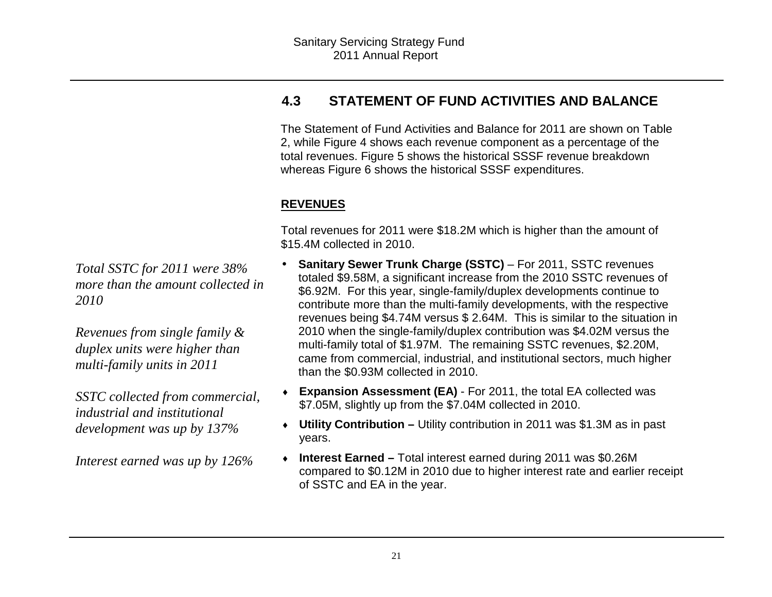## **4.3 STATEMENT OF FUND ACTIVITIES AND BALANCE**

The Statement of Fund Activities and Balance for 2011 are shown on Table 2, while Figure 4 shows each revenue component as a percentage of the total revenues. Figure 5 shows the historical SSSF revenue breakdown whereas Figure 6 shows the historical SSSF expenditures.

### **REVENUES**

Total revenues for 2011 were \$18.2M which is higher than the amount of \$15.4M collected in 2010.

- • **Sanitary Sewer Trunk Charge (SSTC)** – For 2011, SSTC revenues totaled \$9.58M, a significant increase from the 2010 SSTC revenues of \$6.92M. For this year, single-family/duplex developments continue to contribute more than the multi-family developments, with the respective revenues being \$4.74M versus \$ 2.64M. This is similar to the situation in 2010 when the single-family/duplex contribution was \$4.02M versus the multi-family total of \$1.97M. The remaining SSTC revenues, \$2.20M, came from commercial, industrial, and institutional sectors, much higher than the \$0.93M collected in 2010.
- ♦ **Expansion Assessment (EA)** - For 2011, the total EA collected was \$7.05M, slightly up from the \$7.04M collected in 2010.
- ♦ **Utility Contribution –** Utility contribution in 2011 was \$1.3M as in past years.
- ♦ **Interest Earned –** Total interest earned during 2011 was \$0.26M compared to \$0.12M in 2010 due to higher interest rate and earlier receipt of SSTC and EA in the year.

*Total SSTC for 2011 were 38% more than the amount collected in 2010* 

*Revenues from single family & duplex units were higher than multi-family units in 2011* 

*SSTC collected from commercial, industrial and institutional development was up by 137%* 

*Interest earned was up by 126%*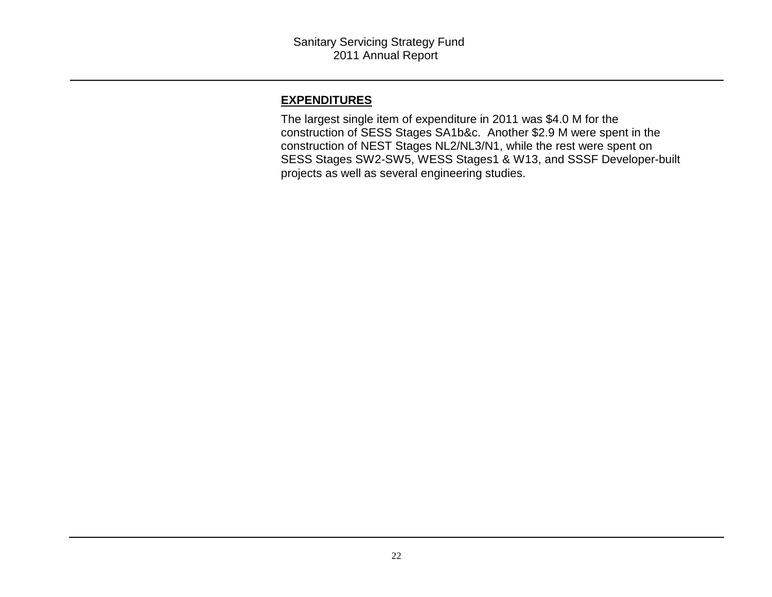#### **EXPENDITURES**

 The largest single item of expenditure in 2011 was \$4.0 M for the construction of SESS Stages SA1b&c. Another \$2.9 M were spent in the construction of NEST Stages NL2/NL3/N1, while the rest were spent on SESS Stages SW2-SW5, WESS Stages1 & W13, and SSSF Developer-built projects as well as several engineering studies.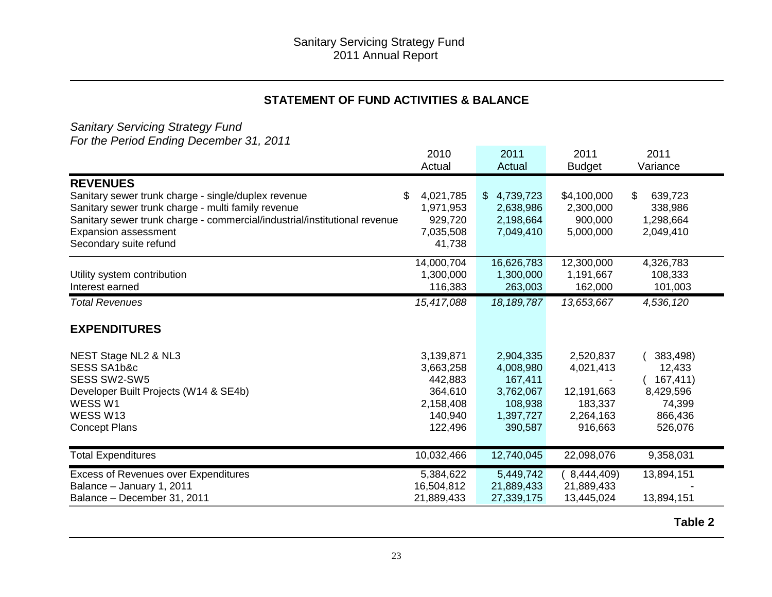#### **STATEMENT OF FUND ACTIVITIES & BALANCE**

# Sanitary Servicing Strategy Fund For the Period Ending December 31, 2011

|                                                                           | 2010            | 2011            | 2011          | 2011          |
|---------------------------------------------------------------------------|-----------------|-----------------|---------------|---------------|
|                                                                           | Actual          | Actual          | <b>Budget</b> | Variance      |
| <b>REVENUES</b>                                                           |                 |                 |               |               |
| Sanitary sewer trunk charge - single/duplex revenue                       | \$<br>4,021,785 | 4,739,723<br>\$ | \$4,100,000   | \$<br>639,723 |
| Sanitary sewer trunk charge - multi family revenue                        | 1,971,953       | 2,638,986       | 2,300,000     | 338,986       |
| Sanitary sewer trunk charge - commercial/industrial/institutional revenue | 929,720         | 2,198,664       | 900,000       | 1,298,664     |
| <b>Expansion assessment</b>                                               | 7,035,508       | 7,049,410       | 5,000,000     | 2,049,410     |
| Secondary suite refund                                                    | 41,738          |                 |               |               |
|                                                                           | 14,000,704      | 16,626,783      | 12,300,000    | 4,326,783     |
| Utility system contribution                                               | 1,300,000       | 1,300,000       | 1,191,667     | 108,333       |
| Interest earned                                                           | 116,383         | 263,003         | 162,000       | 101,003       |
| <b>Total Revenues</b>                                                     | 15,417,088      | 18, 189, 787    | 13,653,667    | 4,536,120     |
| <b>EXPENDITURES</b>                                                       |                 |                 |               |               |
| NEST Stage NL2 & NL3                                                      | 3,139,871       | 2,904,335       | 2,520,837     | 383,498)      |
| SESS SA1b&c                                                               | 3,663,258       | 4,008,980       | 4,021,413     | 12,433        |
| SESS SW2-SW5                                                              | 442,883         | 167,411         |               | 167,411)      |
| Developer Built Projects (W14 & SE4b)                                     | 364,610         | 3,762,067       | 12,191,663    | 8,429,596     |
| WESS W1                                                                   | 2,158,408       | 108,938         | 183,337       | 74,399        |
| WESS W13                                                                  | 140,940         | 1,397,727       | 2,264,163     | 866,436       |
| <b>Concept Plans</b>                                                      | 122,496         | 390,587         | 916,663       | 526,076       |
| <b>Total Expenditures</b>                                                 | 10,032,466      | 12,740,045      | 22,098,076    | 9,358,031     |
| <b>Excess of Revenues over Expenditures</b>                               | 5,384,622       | 5,449,742       | 8,444,409)    | 13,894,151    |
| Balance - January 1, 2011                                                 | 16,504,812      | 21,889,433      | 21,889,433    |               |
| Balance - December 31, 2011                                               | 21,889,433      | 27,339,175      | 13,445,024    | 13,894,151    |
|                                                                           |                 |                 |               |               |

**Table 2**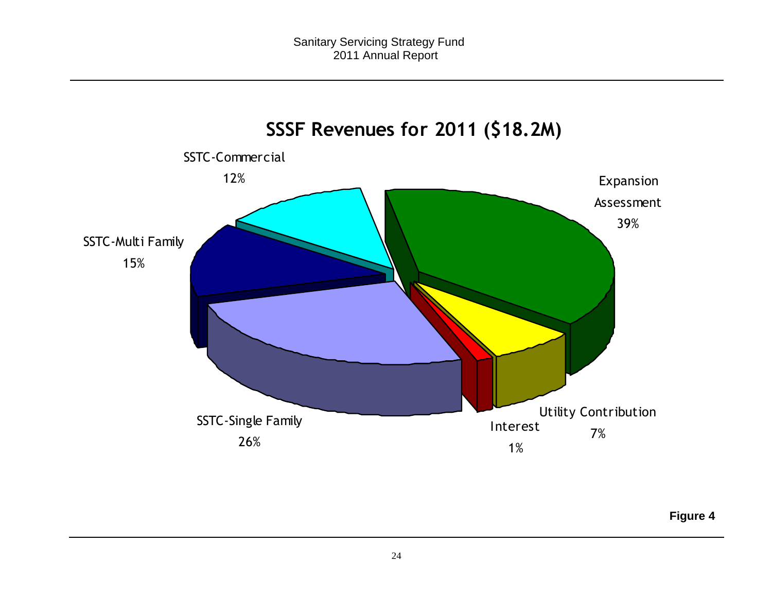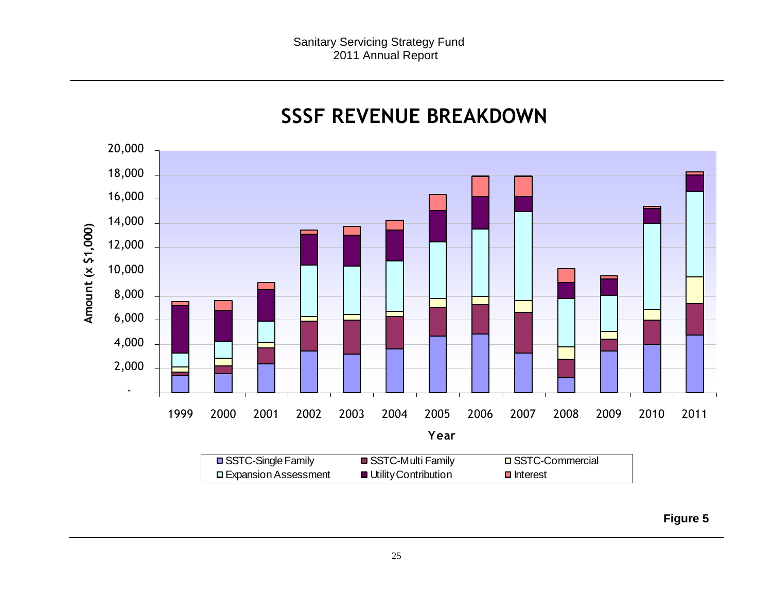

## **SSSF REVENUE BREAKDOWN**